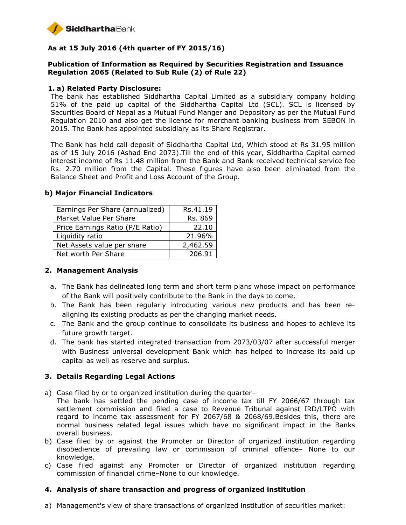

# **As at 15 July 2016 (4th quarter of FY 2015/16)**

# **Publication of Information as Required by Securities Registration and Issuance Regulation 2065 (Related to Sub Rule (2) of Rule 22)**

#### **1. a) Related Party Disclosure:**

The bank has established Siddhartha Capital Limited as a subsidiary company holding 51% of the paid up capital of the Siddhartha Capital Ltd (SCL). SCL is licensed by Securities Board of Nepal as a Mutual Fund Manger and Depository as per the Mutual Fund Regulation 2010 and also get the license for merchant banking business from SEBON in 2015. The Bank has appointed subsidiary as its Share Registrar.

The Bank has held call deposit of Siddhartha Capital Ltd, Which stood at Rs 31.95 million as of 15 July 2016 (Ashad End 2073).Till the end of this year, Siddhartha Capital earned interest income of Rs 11.48 million from the Bank and Bank received technical service fee Rs. 2.70 million from the Capital. These figures have also been eliminated from the Balance Sheet and Profit and Loss Account of the Group.

| Earnings Per Share (annualized)  | Rs.41.19 |
|----------------------------------|----------|
| Market Value Per Share           | Rs. 869  |
| Price Earnings Ratio (P/E Ratio) | 22.10    |
| Liquidity ratio                  | 21.96%   |
| Net Assets value per share       | 2,462.59 |
| Net worth Per Share              | 206.91   |

#### **b) Major Financial Indicators**

### **2. Management Analysis**

- a. The Bank has delineated long term and short term plans whose impact on performance of the Bank will positively contribute to the Bank in the days to come.
- b. The Bank has been regularly introducing various new products and has been realigning its existing products as per the changing market needs.
- c. The Bank and the group continue to consolidate its business and hopes to achieve its future growth target.
- d. The bank has started integrated transaction from 2073/03/07 after successful merger with Business universal development Bank which has helped to increase its paid up capital as well as reserve and surplus.

### **3. Details Regarding Legal Actions**

- a) Case filed by or to organized institution during the quarter–
- The bank has settled the pending case of income tax till FY 2066/67 through tax settlement commission and filed a case to Revenue Tribunal against IRD/LTPO with regard to income tax assessment for FY 2067/68 & 2068/69.Besides this, there are normal business related legal issues which have no significant impact in the Banks overall business.
- b) Case filed by or against the Promoter or Director of organized institution regarding disobedience of prevailing law or commission of criminal offence– None to our knowledge.
- c) Case filed against any Promoter or Director of organized institution regarding commission of financial crime–None to our knowledge.

### **4. Analysis of share transaction and progress of organized institution**

a) Management's view of share transactions of organized institution of securities market: